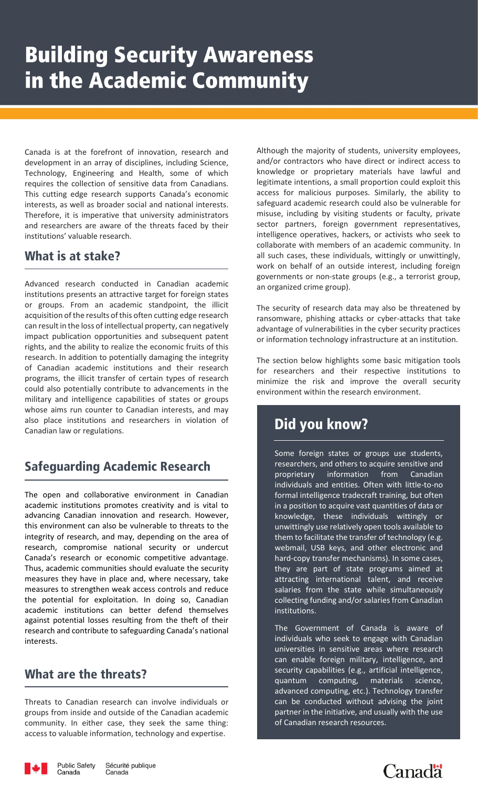Canada is at the forefront of innovation, research and development in an array of disciplines, including Science, Technology, Engineering and Health, some of which requires the collection of sensitive data from Canadians. This cutting edge research supports Canada's economic interests, as well as broader social and national interests. Therefore, it is imperative that university administrators misuse, incl and researchers are aware of the threats faced by their institutions' valuable research.

Advanced research conducted in Canadian academic and organized crime group). institutions presents an attractive target for foreign states derival and symmetric stranger coup, or groups. From an academic standpoint, the illicit The security of research data may also be threatened b acquisition of the results of this often cutting edge research range range can result in the loss of intellectual property, can negatively advantage of vulne<br>impact publication opportunities and subsequent patent or information tech rights, and the ability to realize the economic fruits of this **noting and is vital to advance of the open and i** research. In addition to potentially damaging the integrity and the section below highlights some basic mitigation toole of Canadian academic institutions and their research and the security of canadian academic institutions and their research for researchers and their respective institutions programs, the illicit transfer of certain types of research and minimize the risk and improve the overall securi could also potentially contribute to advancements in the weak access control reduce the potential for exploita<br>environment within the research environment. against the potentially contribute to durancements in the and provironment within the research environment.<br>Military and intelligence capabilities of states or groups whose aims run counter to Canadian interests, and may are the threats? also place institutions and researchers in violation of Canadian law or regulations. case, they seek things to valuable information, they seek the majority of students, university of students, university of students, university of students, university of students, university of students, university of stud

# Safeguarding Academic Research

The open and collaborative environment in Canadian The open and interacademic institutions promotes creativity and is vital to advancing Canadian innovation and research. However, The Runowledge, these individuals wittingly or this environment can also be vulnerable to threats to the environment can also be vulnerable to the environment integrity of research, and may, depending on the area of research, compromise national security or undercut<br>The next page highlights some basic mitigation to minimize the risk and other electronic and Canada's research or economic competitive advantage. Thus, academic communities should evaluate the security measures they have in place and, where necessary, take measures to strengthen weak access controls and reduce the potential for exploitation. In doing so, Canadian academic institutions can better defend themselves against potential losses resulting from the theft of their research and contribute to safeguarding Canada's national interests.

## What are the threats?

Threats to Canadian research can involve individuals or groups from inside and outside of the Canadian academic community. In either case, they seek the same thing: access to valuable information, technology and expertise.

Although the majority of students, university employees, and/or contractors who have direct or indirect access to knowledge or proprietary materials have lawful and legitimate intentions, a small proportion could exploit this This cutting edge research supports Canada's economic access for malicious purposes. Similarly, the ability to s catting eage research supports canada's economic<br>erests, as well as broader social and national interests. Safeguard academic research could also be vulnerable for merests, as wen as broader social and national interests. The cargain account research complete the threats for<br>Therefore, it is imperative that university administrators and results including by visiting students or facul sector partners, foreign government representatives, intelligence operatives, hackers, or activists who seek to memgence operatives, nackers, or activists who seek to<br>collaborate with members of an academic community. In hat is at stake? **Advanced in Canadian and Section** all such cases, these individuals, wittingly or unwittingly, academic standard intellectual control of the interest, including foreign work on behalf of an outside interest, including foreign governments or non-state groups (e.g., a terrorist group, an organized crime group).

> The security of research data may also be threatened by ransomware, phishing attacks or cyber-attacks that take advantage of vulnerabilities in the cyber security practices or information technology infrastructure at an institution.

> The section below highlights some basic mitigation tools for researchers and their respective institutions to minimize the risk and improve the overall security environment within the research environment.

# **Did you know?**

employees, and/or contractors who have direct or indirect access to knowledge or proprietary materials have lawful and legitimate a some foreign states or groups use students, intelligence operatives who seek to collaborate with members of an activitists who seek to connect the such ca<br>In all such community. In all such cases, the such cases, the such cases, the such cases, the such cases, the<br> individuals and entities. Often with little-to-no al security or undercut and webmail, USB keys, and other electronic and all environment. researchers, and others to acquire sensitive and proprietary information from Canadian formal intelligence tradecraft training, but often in a position to acquire vast quantities of data or knowledge, these individuals wittingly or unwittingly use relatively open tools available to them to facilitate the transfer of technology (e.g. hard-copy transfer mechanisms). In some cases, they are part of state programs aimed at attracting international talent, and receive salaries from the state while simultaneously collecting funding and/or salaries from Canadian institutions.

> The Government of Canada is aware of individuals who seek to engage with Canadian universities in sensitive areas where research can enable foreign military, intelligence, and security capabilities (e.g., artificial intelligence, quantum computing, materials science, advanced computing, etc.). Technology transfer can be conducted without advising the joint partner in the initiative, and usually with the use of Canadian research resources.